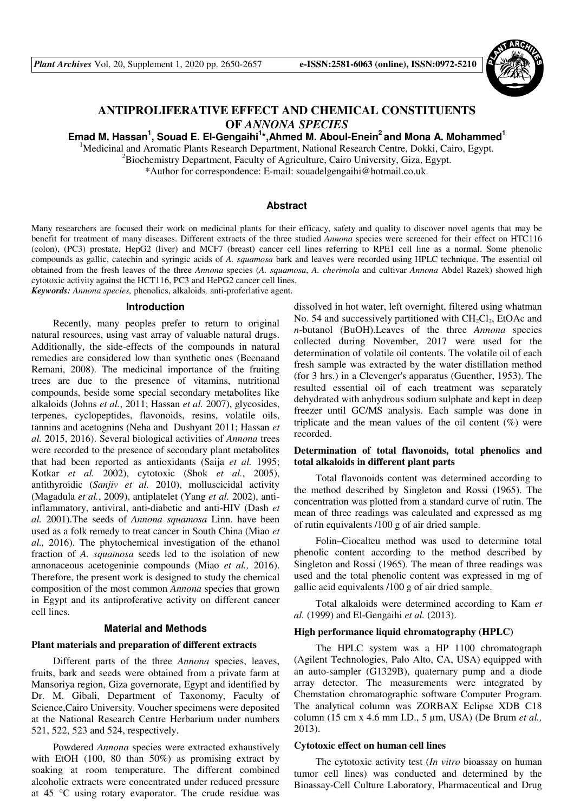

# **ANTIPROLIFERATIVE EFFECT AND CHEMICAL CONSTITUENTS OF** *ANNONA SPECIES*

**1 , Souad E. El-Gengaihi<sup>1</sup> \*,Ahmed M. Aboul-Enein<sup>2</sup>and Mona A. Mohammed<sup>1</sup> Emad M. Hassan**

<sup>1</sup>Medicinal and Aromatic Plants Research Department, National Research Centre, Dokki, Cairo, Egypt.

 ${}^{2}$ Biochemistry Department, Faculty of Agriculture, Cairo University, Giza, Egypt.

\*Author for correspondence: E-mail: souadelgengaihi@hotmail.co.uk.

## **Abstract**

Many researchers are focused their work on medicinal plants for their efficacy, safety and quality to discover novel agents that may be benefit for treatment of many diseases. Different extracts of the three studied *Annona* species were screened for their effect on HTC116 (colon), (PC3) prostate, HepG2 (liver) and MCF7 (breast) cancer cell lines referring to RPE1 cell line as a normal. Some phenolic compounds as gallic, catechin and syringic acids of *A. squamosa* bark and leaves were recorded using HPLC technique. The essential oil obtained from the fresh leaves of the three *Annona* species (*A. squamosa*, *A. cherimola* and cultivar *Annona* Abdel Razek) showed high cytotoxic activity against the HCT116, PC3 and HePG2 cancer cell lines.

*Keywords: Annona species,* phenolics, alkaloids*,* anti-proferlative agent.

#### **Introduction**

Recently, many peoples prefer to return to original natural resources, using vast array of valuable natural drugs. Additionally, the side-effects of the compounds in natural remedies are considered low than synthetic ones (Beenaand Remani, 2008). The medicinal importance of the fruiting trees are due to the presence of vitamins, nutritional compounds, beside some special secondary metabolites like alkaloids (Johns *et al.*, 2011; Hassan *et al.* 2007), glycosides, terpenes, cyclopeptides, flavonoids, resins, volatile oils, tannins and acetognins (Neha and Dushyant 2011; Hassan *et al.* 2015, 2016). Several biological activities of *Annona* trees were recorded to the presence of secondary plant metabolites that had been reported as antioxidants (Saija *et al.* 1995; Kotkar *et al.* 2002), cytotoxic (Shok *et al.*, 2005), antithyroidic (*Sanjiv et al.* 2010), molluscicidal activity (Magadula *et al.*, 2009), antiplatelet (Yang *et al.* 2002), antiinflammatory, antiviral, anti-diabetic and anti-HIV (Dash *et al.* 2001).The seeds of *Annona squamosa* Linn. have been used as a folk remedy to treat cancer in South China (Miao *et al.,* 2016). The phytochemical investigation of the ethanol fraction of *A. squamosa* seeds led to the isolation of new annonaceous acetogeninie compounds (Miao *et al.,* 2016). Therefore, the present work is designed to study the chemical composition of the most common *Annona* species that grown in Egypt and its antiproferative activity on different cancer cell lines.

### **Material and Methods**

#### **Plant materials and preparation of different extracts**

Different parts of the three *Annona* species, leaves, fruits, bark and seeds were obtained from a private farm at Mansoriya region, Giza governorate, Egypt and identified by Dr. M. Gibali, Department of Taxonomy, Faculty of Science,Cairo University. Voucher specimens were deposited at the National Research Centre Herbarium under numbers 521, 522, 523 and 524, respectively.

Powdered *Annona* species were extracted exhaustively with EtOH (100, 80 than 50%) as promising extract by soaking at room temperature. The different combined alcoholic extracts were concentrated under reduced pressure at 45 °C using rotary evaporator. The crude residue was dissolved in hot water, left overnight, filtered using whatman No. 54 and successively partitioned with  $CH<sub>2</sub>Cl<sub>2</sub>$ , EtOAc and *n*-butanol (BuOH).Leaves of the three *Annona* species collected during November, 2017 were used for the determination of volatile oil contents. The volatile oil of each fresh sample was extracted by the water distillation method (for 3 hrs.) in a Clevenger's apparatus (Guenther, 1953). The resulted essential oil of each treatment was separately dehydrated with anhydrous sodium sulphate and kept in deep freezer until GC/MS analysis. Each sample was done in triplicate and the mean values of the oil content  $(\%)$  were recorded.

## **Determination of total flavonoids, total phenolics and total alkaloids in different plant parts**

Total flavonoids content was determined according to the method described by Singleton and Rossi (1965). The concentration was plotted from a standard curve of rutin. The mean of three readings was calculated and expressed as mg of rutin equivalents /100 g of air dried sample.

Folin–Ciocalteu method was used to determine total phenolic content according to the method described by Singleton and Rossi (1965). The mean of three readings was used and the total phenolic content was expressed in mg of gallic acid equivalents /100 g of air dried sample.

Total alkaloids were determined according to Kam *et al.* (1999) and El-Gengaihi *et al.* (2013).

### **High performance liquid chromatography (HPLC)**

The HPLC system was a HP 1100 chromatograph (Agilent Technologies, Palo Alto, CA, USA) equipped with an auto-sampler (G1329B), quaternary pump and a diode array detector. The measurements were integrated by Chemstation chromatographic software Computer Program. The analytical column was ZORBAX Eclipse XDB C18 column (15 cm x 4.6 mm I.D., 5 µm, USA) (De Brum *et al.,* 2013).

#### **Cytotoxic effect on human cell lines**

The cytotoxic activity test (*In vitro* bioassay on human tumor cell lines) was conducted and determined by the Bioassay-Cell Culture Laboratory, Pharmaceutical and Drug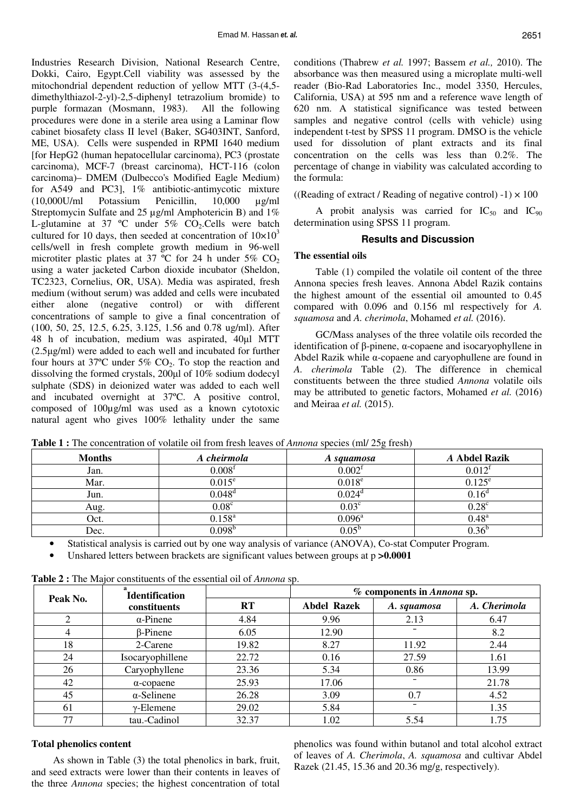Industries Research Division, National Research Centre, Dokki, Cairo, Egypt.Cell viability was assessed by the mitochondrial dependent reduction of yellow MTT (3-(4,5 dimethylthiazol-2-yl)-2,5-diphenyl tetrazolium bromide) to purple formazan (Mosmann, 1983). All the following procedures were done in a sterile area using a Laminar flow cabinet biosafety class II level (Baker, SG403INT, Sanford, ME, USA). Cells were suspended in RPMI 1640 medium [for HepG2 (human hepatocellular carcinoma), PC3 (prostate carcinoma), MCF-7 (breast carcinoma), HCT-116 (colon carcinoma)– DMEM (Dulbecco's Modified Eagle Medium) for A549 and PC3], 1% antibiotic-antimycotic mixture  $(10,000U/ml$  Potassium Penicillin,  $10,000$  ug/ml Streptomycin Sulfate and 25 µg/ml Amphotericin B) and 1% L-glutamine at 37  $\degree$ C under 5% CO<sub>2</sub>.Cells were batch cultured for 10 days, then seeded at concentration of  $10\times10^{3}$ cells/well in fresh complete growth medium in 96-well microtiter plastic plates at 37  $\degree$ C for 24 h under 5% CO<sub>2</sub> using a water jacketed Carbon dioxide incubator (Sheldon, TC2323, Cornelius, OR, USA). Media was aspirated, fresh medium (without serum) was added and cells were incubated either alone (negative control) or with different concentrations of sample to give a final concentration of (100, 50, 25, 12.5, 6.25, 3.125, 1.56 and 0.78 ug/ml). After 48 h of incubation, medium was aspirated, 40µl MTT (2.5µg/ml) were added to each well and incubated for further four hours at 37 $^{\circ}$ C under 5% CO<sub>2</sub>. To stop the reaction and dissolving the formed crystals, 200µl of 10% sodium dodecyl sulphate (SDS) in deionized water was added to each well and incubated overnight at 37ºC. A positive control, composed of 100µg/ml was used as a known cytotoxic natural agent who gives 100% lethality under the same

conditions (Thabrew *et al.* 1997; Bassem *et al.,* 2010). The absorbance was then measured using a microplate multi-well reader (Bio-Rad Laboratories Inc., model 3350, Hercules, California, USA) at 595 nm and a reference wave length of 620 nm. A statistical significance was tested between samples and negative control (cells with vehicle) using independent t-test by SPSS 11 program. DMSO is the vehicle used for dissolution of plant extracts and its final concentration on the cells was less than 0.2%. The percentage of change in viability was calculated according to the formula:

((Reading of extract / Reading of negative control)  $-1$ )  $\times$  100

A probit analysis was carried for  $IC_{50}$  and  $IC_{90}$ determination using SPSS 11 program.

## **Results and Discussion**

### **The essential oils**

Table (1) compiled the volatile oil content of the three Annona species fresh leaves. Annona Abdel Razik contains the highest amount of the essential oil amounted to 0.45 compared with 0.096 and 0.156 ml respectively for *A. squamosa* and *A. cherimola*, Mohamed *et al.* (2016).

GC/Mass analyses of the three volatile oils recorded the identification of β-pinene, α-copaene and isocaryophyllene in Abdel Razik while α-copaene and caryophullene are found in *A. cherimola* Table (2). The difference in chemical constituents between the three studied *Annona* volatile oils may be attributed to genetic factors, Mohamed *et al.* (2016) and Meiraa *et al.* (2015).

**Table 1 :** The concentration of volatile oil from fresh leaves of *Annona* species (ml/ 25g fresh)

| <b>Months</b> | A cheirmola        | A squamosa           | A Abdel Razik      |
|---------------|--------------------|----------------------|--------------------|
| Jan.          | 0.008 <sup>f</sup> | 0.002 <sup>f</sup>   | 0.012 <sup>f</sup> |
| Mar.          | $0.015^e$          | 0.018 <sup>e</sup>   | $0.125^{\rm e}$    |
| Jun.          | $0.048^d$          | $0.024$ <sup>d</sup> | $0.16^{\circ}$     |
| Aug.          | $0.08^{\circ}$     | $0.03^{\circ}$       | $0.28^{\circ}$     |
| Oct.          | $0.158^{a}$        | $0.096^{\text{a}}$   | $0.48^{a}$         |
| Dec.          | N 098 <sub>p</sub> | $0.05^{\rm b}$       | 0 36 <sup>c</sup>  |

• Statistical analysis is carried out by one way analysis of variance (ANOVA), Co-stat Computer Program.

Unshared letters between brackets are significant values between groups at  $p > 0.0001$ 

|          | <b>Identification</b> |       | % components in <i>Annona</i> sp. |             |              |  |  |  |  |  |
|----------|-----------------------|-------|-----------------------------------|-------------|--------------|--|--|--|--|--|
| Peak No. | constituents          | RT    | <b>Abdel Razek</b>                | A. squamosa | A. Cherimola |  |  |  |  |  |
|          | $\alpha$ -Pinene      | 4.84  | 9.96                              | 2.13        | 6.47         |  |  |  |  |  |
|          | $\beta$ -Pinene       | 6.05  | 12.90                             |             | 8.2          |  |  |  |  |  |
| 18       | 2-Carene              | 19.82 | 8.27                              | 11.92       | 2.44         |  |  |  |  |  |
| 24       | Isocaryophillene      | 22.72 | 0.16                              | 27.59       | 1.61         |  |  |  |  |  |
| 26       | Caryophyllene         | 23.36 | 5.34                              | 0.86        | 13.99        |  |  |  |  |  |
| 42       | $\alpha$ -copaene     | 25.93 | 17.06                             |             | 21.78        |  |  |  |  |  |
| 45       | $\alpha$ -Selinene    | 26.28 | 3.09                              | 0.7         | 4.52         |  |  |  |  |  |
| 61       | $\gamma$ -Elemene     | 29.02 | 5.84                              |             | 1.35         |  |  |  |  |  |
| 77       | tau.-Cadinol          | 32.37 | 1.02                              | 5.54        | 1.75         |  |  |  |  |  |

**Table 2 :** The Major constituents of the essential oil of *Annona* sp.

## **Total phenolics content**

As shown in Table (3) the total phenolics in bark, fruit, and seed extracts were lower than their contents in leaves of the three *Annona* species; the highest concentration of total phenolics was found within butanol and total alcohol extract of leaves of *A. Cherimola*, *A. squamosa* and cultivar Abdel Razek (21.45, 15.36 and 20.36 mg/g, respectively).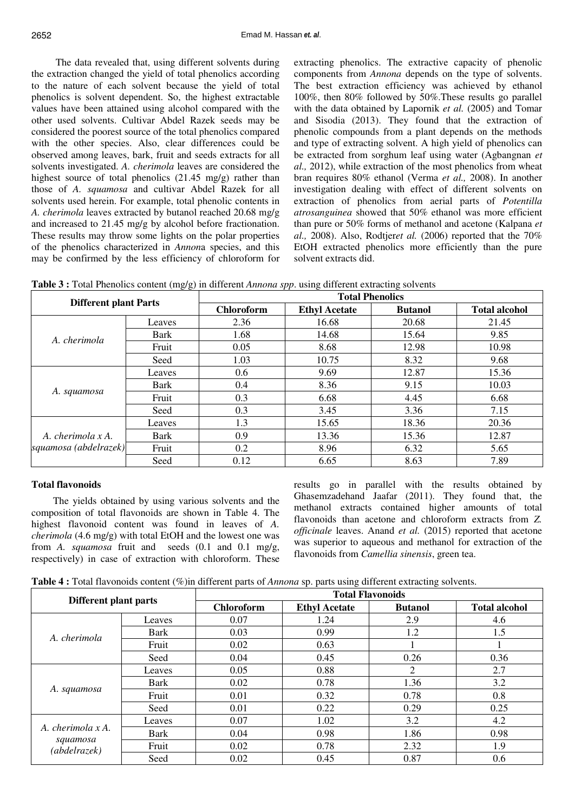The data revealed that, using different solvents during the extraction changed the yield of total phenolics according to the nature of each solvent because the yield of total phenolics is solvent dependent. So, the highest extractable values have been attained using alcohol compared with the other used solvents. Cultivar Abdel Razek seeds may be considered the poorest source of the total phenolics compared with the other species. Also, clear differences could be observed among leaves, bark, fruit and seeds extracts for all solvents investigated. *A. cherimola* leaves are considered the highest source of total phenolics (21.45 mg/g) rather than those of *A. squamosa* and cultivar Abdel Razek for all solvents used herein. For example, total phenolic contents in *A. cherimola* leaves extracted by butanol reached 20.68 mg/g and increased to 21.45 mg/g by alcohol before fractionation. These results may throw some lights on the polar properties of the phenolics characterized in *Annon*a species, and this may be confirmed by the less efficiency of chloroform for extracting phenolics. The extractive capacity of phenolic components from *Annona* depends on the type of solvents. The best extraction efficiency was achieved by ethanol 100%, then 80% followed by 50%.These results go parallel with the data obtained by Lapornik *et al.* (2005) and Tomar and Sisodia (2013). They found that the extraction of phenolic compounds from a plant depends on the methods and type of extracting solvent. A high yield of phenolics can be extracted from sorghum leaf using water (Agbangnan *et al.,* 2012), while extraction of the most phenolics from wheat bran requires 80% ethanol (Verma *et al.,* 2008). In another investigation dealing with effect of different solvents on extraction of phenolics from aerial parts of *Potentilla atrosanguinea* showed that 50% ethanol was more efficient than pure or 50% forms of methanol and acetone (Kalpana *et al.,* 2008). Also, Rodtjer*et al.* (2006) reported that the 70% EtOH extracted phenolics more efficiently than the pure solvent extracts did.

**Table 3 :** Total Phenolics content (mg/g) in different *Annona spp*. using different extracting solvents

| <b>Different plant Parts</b>               |             | <b>Total Phenolics</b> |                      |                |                      |  |  |  |  |  |  |  |
|--------------------------------------------|-------------|------------------------|----------------------|----------------|----------------------|--|--|--|--|--|--|--|
|                                            |             | <b>Chloroform</b>      | <b>Ethyl Acetate</b> | <b>Butanol</b> | <b>Total alcohol</b> |  |  |  |  |  |  |  |
|                                            | Leaves      | 2.36                   | 16.68                | 20.68          | 21.45                |  |  |  |  |  |  |  |
| A. cherimola                               | <b>Bark</b> | 1.68                   | 14.68                | 15.64          | 9.85                 |  |  |  |  |  |  |  |
|                                            | Fruit       | 0.05                   | 8.68                 | 12.98          | 10.98                |  |  |  |  |  |  |  |
|                                            | Seed        | 1.03                   | 10.75                | 8.32           | 9.68                 |  |  |  |  |  |  |  |
|                                            | Leaves      | 0.6                    | 9.69                 | 12.87          | 15.36                |  |  |  |  |  |  |  |
|                                            | Bark        | 0.4                    | 8.36                 | 9.15           | 10.03                |  |  |  |  |  |  |  |
| A. squamosa                                | Fruit       | 0.3                    | 6.68                 | 4.45           | 6.68                 |  |  |  |  |  |  |  |
|                                            | Seed        | 0.3                    | 3.45                 | 3.36           | 7.15                 |  |  |  |  |  |  |  |
|                                            | Leaves      | 1.3                    | 15.65                | 18.36          | 20.36                |  |  |  |  |  |  |  |
| A. cherimola x A.<br>squamosa (abdelrazek) | Bark        | 0.9                    | 13.36                | 15.36          | 12.87                |  |  |  |  |  |  |  |
|                                            | Fruit       | 0.2                    | 8.96                 | 6.32           | 5.65                 |  |  |  |  |  |  |  |
|                                            | Seed        | 0.12                   | 6.65                 | 8.63           | 7.89                 |  |  |  |  |  |  |  |

# **Total flavonoids**

The yields obtained by using various solvents and the composition of total flavonoids are shown in Table 4. The highest flavonoid content was found in leaves of *A. cherimola* (4.6 mg/g) with total EtOH and the lowest one was from *A. squamosa* fruit and seeds (0.1 and 0.1 mg/g, respectively) in case of extraction with chloroform. These results go in parallel with the results obtained by Ghasemzadehand Jaafar (2011). They found that, the methanol extracts contained higher amounts of total flavonoids than acetone and chloroform extracts from *Z. officinale* leaves. Anand *et al.* (2015) reported that acetone was superior to aqueous and methanol for extraction of the flavonoids from *Camellia sinensis*, green tea.

| <b>Table 4 :</b> Total flavonoids content $(\%)$ in different parts of <i>Annona</i> sp. parts using different extracting solvents. |  |  |  |  |  |  |  |  |  |  |  |  |  |
|-------------------------------------------------------------------------------------------------------------------------------------|--|--|--|--|--|--|--|--|--|--|--|--|--|
|-------------------------------------------------------------------------------------------------------------------------------------|--|--|--|--|--|--|--|--|--|--|--|--|--|

|                                               |             |                   | <b>Total Flavonoids</b> |                |                      |
|-----------------------------------------------|-------------|-------------------|-------------------------|----------------|----------------------|
| Different plant parts                         |             | <b>Chloroform</b> | <b>Ethyl Acetate</b>    | <b>Butanol</b> | <b>Total alcohol</b> |
|                                               | Leaves      | 0.07              | 1.24                    | 2.9            | 4.6                  |
| A. cherimola                                  | <b>Bark</b> | 0.03              | 0.99                    | 1.2            | 1.5                  |
|                                               | Fruit       | 0.02              | 0.63                    |                |                      |
|                                               | Seed        | 0.04              | 0.45                    | 0.26           | 0.36                 |
|                                               | Leaves      | 0.05              | 0.88                    | 2              | 2.7                  |
|                                               | Bark        | 0.02              | 0.78                    | 1.36           | 3.2                  |
| A. squamosa                                   | Fruit       | 0.01              | 0.32                    | 0.78           | 0.8                  |
|                                               | Seed        | 0.01              | 0.22                    | 0.29           | 0.25                 |
|                                               | Leaves      | 0.07              | 1.02                    | 3.2            | 4.2                  |
| A. cherimola x A.<br>squamosa<br>(abdelrazek) | <b>Bark</b> | 0.04              | 0.98                    | 1.86           | 0.98                 |
|                                               | Fruit       | 0.02              | 0.78                    | 2.32           | 1.9                  |
|                                               | Seed        | 0.02              | 0.45                    | 0.87           | 0.6                  |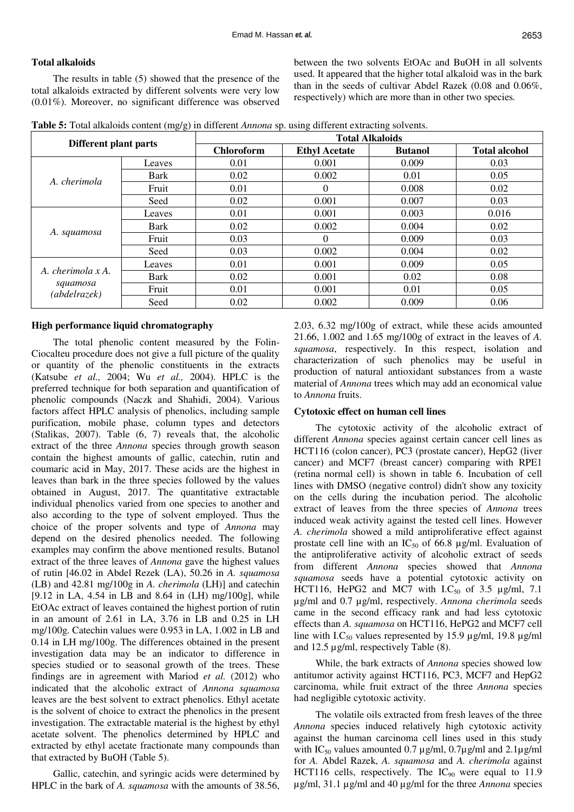#### **Total alkaloids**

The results in table (5) showed that the presence of the total alkaloids extracted by different solvents were very low (0.01%). Moreover, no significant difference was observed between the two solvents EtOAc and BuOH in all solvents used. It appeared that the higher total alkaloid was in the bark than in the seeds of cultivar Abdel Razek (0.08 and 0.06%, respectively) which are more than in other two species*.* 

| Table 5: Total alkaloids content (mg/g) in different Annona sp. using different extracting solvents. |  |  |
|------------------------------------------------------------------------------------------------------|--|--|
|------------------------------------------------------------------------------------------------------|--|--|

| Different plant parts                         |        | <b>Total Alkaloids</b> |                      |                |                      |  |  |  |  |  |  |
|-----------------------------------------------|--------|------------------------|----------------------|----------------|----------------------|--|--|--|--|--|--|
|                                               |        | <b>Chloroform</b>      | <b>Ethyl Acetate</b> | <b>Butanol</b> | <b>Total alcohol</b> |  |  |  |  |  |  |
|                                               | Leaves | 0.01                   | 0.001                | 0.009          | 0.03                 |  |  |  |  |  |  |
| A. cherimola                                  | Bark   | 0.02                   | 0.002                | 0.01           | 0.05                 |  |  |  |  |  |  |
|                                               | Fruit  | 0.01                   | $\theta$             | 0.008          | 0.02                 |  |  |  |  |  |  |
|                                               | Seed   | 0.02                   | 0.001                | 0.007          | 0.03                 |  |  |  |  |  |  |
|                                               | Leaves | 0.01                   | 0.001                | 0.003          | 0.016                |  |  |  |  |  |  |
|                                               | Bark   | 0.02                   | 0.002                | 0.004          | 0.02                 |  |  |  |  |  |  |
| A. squamosa                                   | Fruit  | 0.03                   | 0                    | 0.009          | 0.03                 |  |  |  |  |  |  |
|                                               | Seed   | 0.03                   | 0.002                | 0.004          | 0.02                 |  |  |  |  |  |  |
|                                               | Leaves | 0.01                   | 0.001                | 0.009          | 0.05                 |  |  |  |  |  |  |
| A. cherimola x A.<br>squamosa<br>(abdelrazek) | Bark   | 0.02                   | 0.001                | 0.02           | 0.08                 |  |  |  |  |  |  |
|                                               | Fruit  | 0.01                   | 0.001                | 0.01           | 0.05                 |  |  |  |  |  |  |
|                                               | Seed   | 0.02                   | 0.002                | 0.009          | 0.06                 |  |  |  |  |  |  |

#### **High performance liquid chromatography**

The total phenolic content measured by the Folin-Ciocalteu procedure does not give a full picture of the quality or quantity of the phenolic constituents in the extracts (Katsube *et al.,* 2004; Wu *et al.,* 2004). HPLC is the preferred technique for both separation and quantification of phenolic compounds (Naczk and Shahidi, 2004). Various factors affect HPLC analysis of phenolics, including sample purification, mobile phase, column types and detectors (Stalikas, 2007). Table (6, 7) reveals that, the alcoholic extract of the three *Annona* species through growth season contain the highest amounts of gallic, catechin, rutin and coumaric acid in May, 2017. These acids are the highest in leaves than bark in the three species followed by the values obtained in August, 2017. The quantitative extractable individual phenolics varied from one species to another and also according to the type of solvent employed. Thus the choice of the proper solvents and type of *Annona* may depend on the desired phenolics needed. The following examples may confirm the above mentioned results. Butanol extract of the three leaves of *Annona* gave the highest values of rutin [46.02 in Abdel Rezek (LA), 50.26 in *A. squamosa* (LB) and 42.81 mg/100g in *A. cherimola* (LH)] and catechin [9.12 in LA, 4.54 in LB and 8.64 in (LH) mg/100g], while EtOAc extract of leaves contained the highest portion of rutin in an amount of 2.61 in LA, 3.76 in LB and 0.25 in LH mg/100g. Catechin values were 0.953 in LA, 1.002 in LB and 0.14 in LH mg/100g. The differences obtained in the present investigation data may be an indicator to difference in species studied or to seasonal growth of the trees. These findings are in agreement with Mariod *et al.* (2012) who indicated that the alcoholic extract of *Annona squamosa*  leaves are the best solvent to extract phenolics. Ethyl acetate is the solvent of choice to extract the phenolics in the present investigation. The extractable material is the highest by ethyl acetate solvent. The phenolics determined by HPLC and extracted by ethyl acetate fractionate many compounds than that extracted by BuOH (Table 5).

Gallic, catechin, and syringic acids were determined by HPLC in the bark of *A. squamosa* with the amounts of 38.56, 2.03, 6.32 mg/100g of extract, while these acids amounted 21.66, 1.002 and 1.65 mg/100g of extract in the leaves of *A. squamosa*, respectively. In this respect, isolation and characterization of such phenolics may be useful in production of natural antioxidant substances from a waste material of *Annona* trees which may add an economical value to *Annona* fruits.

#### **Cytotoxic effect on human cell lines**

The cytotoxic activity of the alcoholic extract of different *Annona* species against certain cancer cell lines as HCT116 (colon cancer), PC3 (prostate cancer), HepG2 (liver cancer) and MCF7 (breast cancer) comparing with RPE1 (retina normal cell) is shown in table 6. Incubation of cell lines with DMSO (negative control) didn't show any toxicity on the cells during the incubation period. The alcoholic extract of leaves from the three species of *Annona* trees induced weak activity against the tested cell lines. However *A. cherimola* showed a mild antiproliferative effect against prostate cell line with an  $IC_{50}$  of 66.8  $\mu$ g/ml. Evaluation of the antiproliferative activity of alcoholic extract of seeds from different *Annona* species showed that *Annona squamosa* seeds have a potential cytotoxic activity on HCT116, HePG2 and MC7 with I.C<sub>50</sub> of 3.5  $\mu$ g/ml, 7.1 µg/ml and 0.7 µg/ml, respectively. *Annona cherimola* seeds came in the second efficacy rank and had less cytotoxic effects than *A. squamosa* on HCT116, HePG2 and MCF7 cell line with I.C<sub>50</sub> values represented by 15.9  $\mu$ g/ml, 19.8  $\mu$ g/ml and 12.5 µg/ml, respectively Table (8).

While, the bark extracts of *Annona* species showed low antitumor activity against HCT116, PC3, MCF7 and HepG2 carcinoma, while fruit extract of the three *Annona* species had negligible cytotoxic activity.

The volatile oils extracted from fresh leaves of the three *Annona* species induced relatively high cytotoxic activity against the human carcinoma cell lines used in this study with IC<sub>50</sub> values amounted 0.7  $\mu$ g/ml, 0.7 $\mu$ g/ml and 2.1 $\mu$ g/ml for *A.* Abdel Razek, *A. squamosa* and *A. cherimola* against HCT116 cells, respectively. The  $IC_{90}$  were equal to 11.9 µg/ml, 31.1 µg/ml and 40 µg/ml for the three *Annona* species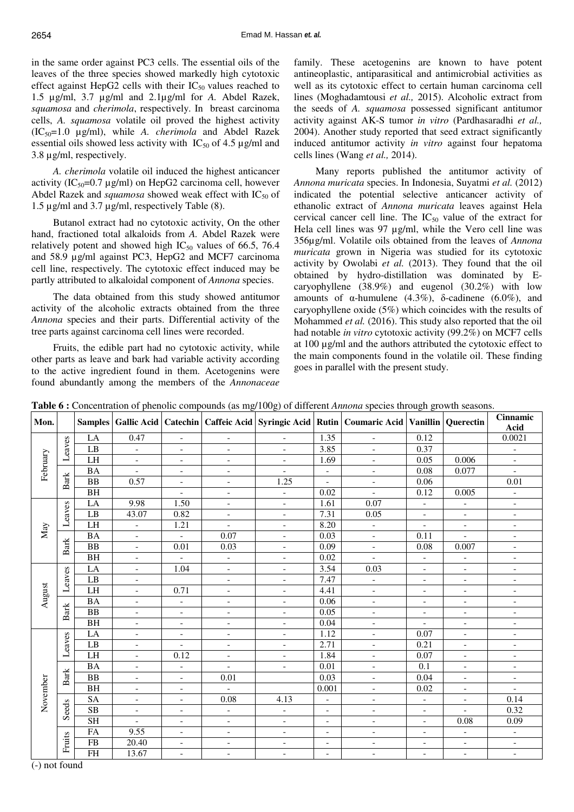in the same order against PC3 cells. The essential oils of the leaves of the three species showed markedly high cytotoxic effect against HepG2 cells with their  $IC_{50}$  values reached to 1.5 µg/ml, 3.7 µg/ml and 2.1µg/ml for *A.* Abdel Razek, *squamosa* and *cherimola*, respectively. In breast carcinoma cells, *A. squamosa* volatile oil proved the highest activity (IC50=1.0 µg/ml), while *A. cherimola* and Abdel Razek essential oils showed less activity with  $IC_{50}$  of 4.5  $\mu$ g/ml and 3.8 µg/ml, respectively.

*A. cherimola* volatile oil induced the highest anticancer activity (IC<sub>50</sub>=0.7  $\mu$ g/ml) on HepG2 carcinoma cell, however Abdel Razek and *squamosa* showed weak effect with  $IC_{50}$  of 1.5 µg/ml and 3.7 µg/ml, respectively Table (8).

Butanol extract had no cytotoxic activity, On the other hand, fractioned total alkaloids from *A.* Abdel Razek were relatively potent and showed high  $IC_{50}$  values of 66.5, 76.4 and 58.9 µg/ml against PC3, HepG2 and MCF7 carcinoma cell line, respectively. The cytotoxic effect induced may be partly attributed to alkaloidal component of *Annona* species.

The data obtained from this study showed antitumor activity of the alcoholic extracts obtained from the three *Annona* species and their parts. Differential activity of the tree parts against carcinoma cell lines were recorded.

Fruits, the edible part had no cytotoxic activity, while other parts as leave and bark had variable activity according to the active ingredient found in them. Acetogenins were found abundantly among the members of the *Annonaceae*

family. These acetogenins are known to have potent antineoplastic, antiparasitical and antimicrobial activities as well as its cytotoxic effect to certain human carcinoma cell lines (Moghadamtousi *et al.,* 2015). Alcoholic extract from the seeds of *A. squamosa* possessed significant antitumor activity against AK-S tumor *in vitro* (Pardhasaradhi *et al.,* 2004). Another study reported that seed extract significantly induced antitumor activity *in vitro* against four hepatoma cells lines (Wang *et al.,* 2014).

Many reports published the antitumor activity of *Annona muricata* species. In Indonesia, Suyatmi *et al.* (2012) indicated the potential selective anticancer activity of ethanolic extract of *Annona muricata* leaves against Hela cervical cancer cell line. The  $IC_{50}$  value of the extract for Hela cell lines was 97 µg/ml, while the Vero cell line was 356µg/ml. Volatile oils obtained from the leaves of *Annona muricata* grown in Nigeria was studied for its cytotoxic activity by Owolabi *et al.* (2013). They found that the oil obtained by hydro-distillation was dominated by Ecaryophyllene (38.9%) and eugenol (30.2%) with low amounts of α-humulene  $(4.3\%)$ , δ-cadinene  $(6.0\%)$ , and caryophyllene oxide (5%) which coincides with the results of Mohammed *et al.* (2016). This study also reported that the oil had notable *in vitro* cytotoxic activity (99.2%) on MCF7 cells at 100 µg/ml and the authors attributed the cytotoxic effect to the main components found in the volatile oil. These finding goes in parallel with the present study.

|  |  | Table 6 : Concentration of phenolic compounds (as mg/100g) of different Annona species through growth seasons. |  |
|--|--|----------------------------------------------------------------------------------------------------------------|--|
|  |  |                                                                                                                |  |

| Mon.     |               |                        |                              |                          |                          |                              |                          | Samples   Gallic Acid   Catechin   Caffeic Acid   Syringic Acid   Rutin   Coumaric Acid   Vanillin |                              | Querectin                | <b>Cinnamic</b><br>Acid      |
|----------|---------------|------------------------|------------------------------|--------------------------|--------------------------|------------------------------|--------------------------|----------------------------------------------------------------------------------------------------|------------------------------|--------------------------|------------------------------|
|          |               | LA                     | 0.47                         | $\blacksquare$           | $\overline{\phantom{a}}$ | $\overline{\phantom{a}}$     | 1.35                     | $\overline{\phantom{a}}$                                                                           | 0.12                         |                          | 0.0021                       |
|          | Leaves        | LB                     | $\overline{\phantom{a}}$     | $\overline{\phantom{a}}$ | $\overline{\phantom{a}}$ | $\overline{\phantom{a}}$     | 3.85                     | $\overline{\phantom{a}}$                                                                           | 0.37                         |                          | $\qquad \qquad -$            |
|          |               | LH                     | $\overline{\phantom{a}}$     | $\blacksquare$           | $\overline{\phantom{0}}$ | $\frac{1}{2}$                | 1.69                     | $\overline{\phantom{a}}$                                                                           | 0.05                         | 0.006                    | $\overline{\phantom{a}}$     |
| February |               | <b>BA</b>              | $\overline{a}$               | $\overline{\phantom{a}}$ | $\equiv$                 | $\overline{a}$               | $\blacksquare$           | $\overline{\phantom{0}}$                                                                           | 0.08                         | 0.077                    | $\overline{a}$               |
|          | <b>Bark</b>   | <b>BB</b>              | 0.57                         | $\overline{\phantom{0}}$ | $\overline{\phantom{a}}$ | 1.25                         | $\overline{\phantom{a}}$ | $\overline{\phantom{a}}$                                                                           | 0.06                         |                          | 0.01                         |
|          |               | BH                     |                              | $\blacksquare$           | $\blacksquare$           | $\overline{a}$               | 0.02                     | $\overline{\phantom{0}}$                                                                           | 0.12                         | 0.005                    | $\overline{\phantom{a}}$     |
|          |               | LA                     | 9.98                         | 1.50                     | $\blacksquare$           | $\frac{1}{2}$                | 1.61                     | 0.07                                                                                               | $\equiv$                     | $\blacksquare$           | $\blacksquare$               |
|          | Leaves        | LB                     | 43.07                        | 0.82                     | $\overline{\phantom{a}}$ | $\overline{\phantom{a}}$     | 7.31                     | 0.05                                                                                               | $\blacksquare$               | $\overline{\phantom{0}}$ | $\overline{\phantom{a}}$     |
| May      |               | LH                     | $\qquad \qquad -$            | 1.21                     | $\overline{\phantom{a}}$ | $\overline{\phantom{a}}$     | 8.20                     | $\overline{\phantom{a}}$                                                                           | $\overline{\phantom{a}}$     | $\blacksquare$           | $\overline{\phantom{a}}$     |
|          |               | <b>BA</b>              | $\overline{\phantom{a}}$     | $\equiv$                 | 0.07                     | $\overline{\phantom{a}}$     | 0.03                     | $\overline{\phantom{a}}$                                                                           | 0.11                         | $\overline{a}$           | $\qquad \qquad \blacksquare$ |
|          | Bark          | BB                     | $\overline{a}$               | $0.01\,$                 | 0.03                     | $\overline{\phantom{0}}$     | 0.09                     | $\qquad \qquad -$                                                                                  | 0.08                         | 0.007                    | $\overline{a}$               |
|          |               | <b>BH</b>              | $\overline{\phantom{a}}$     | $\overline{\phantom{a}}$ | $\overline{\phantom{a}}$ | $\overline{\phantom{a}}$     | 0.02                     | $\overline{\phantom{a}}$                                                                           | $\overline{\phantom{a}}$     | $\overline{\phantom{a}}$ | $\overline{\phantom{a}}$     |
|          |               | LA                     | $\overline{\phantom{0}}$     | 1.04                     | $\overline{\phantom{a}}$ | $\overline{\phantom{a}}$     | 3.54                     | 0.03                                                                                               | $\equiv$                     | $\overline{a}$           | $\overline{\phantom{a}}$     |
|          | Leaves        | $\overline{LB}$        | $\overline{\phantom{a}}$     |                          | $\overline{\phantom{a}}$ | $\overline{\phantom{a}}$     | 7.47                     | $\qquad \qquad -$                                                                                  | $\overline{\phantom{a}}$     | $\overline{\phantom{a}}$ | $\overline{\phantom{0}}$     |
|          |               | LH                     | $\overline{\phantom{a}}$     | 0.71                     | $\overline{\phantom{a}}$ | $\qquad \qquad -$            | 4.41                     | $\qquad \qquad -$                                                                                  | $\overline{\phantom{a}}$     | $\overline{\phantom{a}}$ | $\qquad \qquad -$            |
| August   |               | <b>BA</b>              | $\qquad \qquad \blacksquare$ | $\overline{a}$           | $\overline{\phantom{a}}$ | $\overline{\phantom{0}}$     | 0.06                     | $\overline{\phantom{a}}$                                                                           | $\overline{\phantom{a}}$     | $\overline{\phantom{a}}$ | $\qquad \qquad -$            |
|          | <b>Bark</b>   | $\overline{BB}$        | $\overline{\phantom{0}}$     | $\overline{\phantom{a}}$ | $\equiv$                 | $\frac{1}{2}$                | 0.05                     | $\frac{1}{2}$                                                                                      | $\overline{\phantom{a}}$     | $\overline{\phantom{0}}$ | $\overline{\phantom{a}}$     |
|          |               | <b>BH</b>              | $\overline{\phantom{0}}$     | $\qquad \qquad -$        | $\overline{\phantom{a}}$ | $\qquad \qquad -$            | 0.04                     | $\qquad \qquad -$                                                                                  |                              | $\qquad \qquad -$        | $\qquad \qquad -$            |
|          |               | LA                     | $\overline{\phantom{a}}$     | $\overline{\phantom{a}}$ | $\overline{\phantom{a}}$ | $\overline{\phantom{a}}$     | 1.12                     | $\overline{\phantom{a}}$                                                                           | 0.07                         | $\overline{\phantom{0}}$ | $\qquad \qquad -$            |
|          | Leaves        | $\overline{LB}$        | $\overline{\phantom{a}}$     | $\overline{\phantom{a}}$ | $\overline{\phantom{a}}$ | $\overline{\phantom{a}}$     | 2.71                     | $\overline{\phantom{a}}$                                                                           | 0.21                         | $\frac{1}{2}$            | $\overline{\phantom{a}}$     |
|          |               | LH                     | $\frac{1}{2}$                | 0.12                     | $\frac{1}{2}$            | $\overline{\phantom{0}}$     | 1.84                     | $\qquad \qquad -$                                                                                  | 0.07                         | $\frac{1}{2}$            | $\overline{\phantom{0}}$     |
|          |               | <b>BA</b>              | $\overline{\phantom{a}}$     | $\frac{1}{2}$            | $\overline{\phantom{a}}$ | $\bar{\phantom{a}}$          | 0.01                     | $\overline{\phantom{a}}$                                                                           | 0.1                          | $\frac{1}{2}$            | $\overline{\phantom{a}}$     |
|          | Bark          | <b>BB</b>              | $\frac{1}{2}$                | $\frac{1}{2}$            | 0.01                     |                              | 0.03                     | $\overline{\phantom{0}}$                                                                           | 0.04                         | $\overline{\phantom{a}}$ | $\qquad \qquad -$            |
|          |               | <b>BH</b>              | $\overline{\phantom{a}}$     | $\overline{\phantom{0}}$ |                          |                              | 0.001                    | $\overline{a}$                                                                                     | 0.02                         | $\overline{\phantom{a}}$ | $\overline{a}$               |
| November |               | <b>SA</b>              | $\overline{\phantom{a}}$     | $\overline{\phantom{a}}$ | 0.08                     | 4.13                         | $\overline{\phantom{a}}$ | $\overline{\phantom{0}}$                                                                           | $\qquad \qquad \blacksquare$ | $\overline{\phantom{0}}$ | 0.14                         |
|          | Seeds         | $\overline{\text{SB}}$ | $\overline{\phantom{a}}$     | $\blacksquare$           | $\overline{\phantom{a}}$ | $\overline{a}$               | $\overline{\phantom{a}}$ | $\overline{\phantom{a}}$                                                                           | $\overline{\phantom{a}}$     | $\overline{a}$           | 0.32                         |
|          |               | <b>SH</b>              | $\overline{a}$               | $\overline{\phantom{a}}$ | $\equiv$                 | $\overline{\phantom{0}}$     | $\overline{\phantom{a}}$ | $\overline{\phantom{a}}$                                                                           | $\overline{\phantom{a}}$     | 0.08                     | 0.09                         |
|          |               | FA                     | 9.55                         | $\overline{\phantom{a}}$ | $\overline{\phantom{a}}$ | $\qquad \qquad -$            | $\overline{\phantom{a}}$ | $\overline{\phantom{a}}$                                                                           | $\overline{\phantom{a}}$     | $\overline{\phantom{a}}$ | $\overline{\phantom{a}}$     |
|          | Fruits        | $\overline{FB}$        | 20.40                        | $\overline{\phantom{0}}$ | $\overline{\phantom{a}}$ | $\qquad \qquad \blacksquare$ | $\overline{\phantom{a}}$ | $\overline{\phantom{0}}$                                                                           | $\qquad \qquad \blacksquare$ | $\overline{\phantom{0}}$ | $\overline{\phantom{a}}$     |
|          | $\sim$ $\sim$ | $\overline{FH}$        | 13.67                        | $\overline{\phantom{a}}$ | $\overline{\phantom{a}}$ | $\overline{\phantom{a}}$     | $\blacksquare$           | $\overline{\phantom{a}}$                                                                           | $\overline{\phantom{a}}$     | $\overline{\phantom{a}}$ | $\overline{\phantom{a}}$     |

(-) not found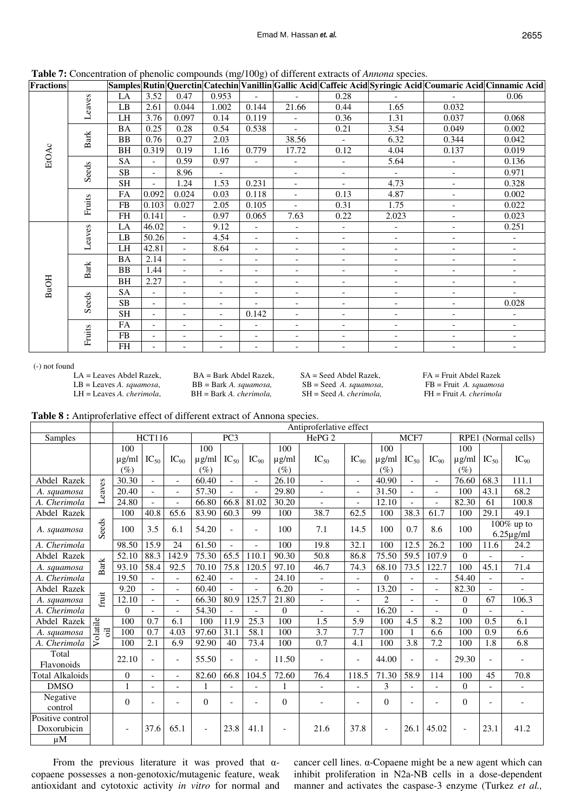2655

|  |  |  |  | Table 7: Concentration of phenolic compounds (mg/100g) of different extracts of Annona species. |
|--|--|--|--|-------------------------------------------------------------------------------------------------|
|--|--|--|--|-------------------------------------------------------------------------------------------------|

| <b>Fractions</b> |             |                        |                          |                          | $\sim$                   | O.<br>$\mathcal{O}^{\prime}$ |                          |                          |                          | Samples Rutin Querctin Catechin Vanillin Gallic Acid Caffeic Acid Syringic Acid Coumaric Acid Cinnamic Acid |                          |
|------------------|-------------|------------------------|--------------------------|--------------------------|--------------------------|------------------------------|--------------------------|--------------------------|--------------------------|-------------------------------------------------------------------------------------------------------------|--------------------------|
|                  |             | LA                     | 3.52                     | 0.47                     | 0.953                    | $\overline{a}$               | $\overline{a}$           | 0.28                     | $\overline{\phantom{a}}$ | $\overline{a}$                                                                                              | 0.06                     |
|                  | Leaves      | $\mathbf{L}\mathbf{B}$ | 2.61                     | 0.044                    | 1.002                    | 0.144                        | 21.66                    | 0.44                     | 1.65                     | 0.032                                                                                                       |                          |
|                  |             | LH                     | 3.76                     | 0.097                    | 0.14                     | 0.119                        | $\overline{\phantom{a}}$ | 0.36                     | 1.31                     | 0.037                                                                                                       | 0.068                    |
|                  |             | <b>BA</b>              | 0.25                     | 0.28                     | 0.54                     | 0.538                        | $\sim$                   | 0.21                     | 3.54                     | 0.049                                                                                                       | 0.002                    |
|                  | <b>Bark</b> | <b>BB</b>              | 0.76                     | 0.27                     | 2.03                     |                              | 38.56                    | $\overline{\phantom{0}}$ | 6.32                     | 0.344                                                                                                       | 0.042                    |
| EtOAc            |             | BH                     | 0.319                    | 0.19                     | 1.16                     | 0.779                        | 17.72                    | 0.12                     | 4.04                     | 0.137                                                                                                       | 0.019                    |
|                  |             | <b>SA</b>              | $\blacksquare$           | 0.59                     | 0.97                     | $\blacksquare$               | $\overline{\phantom{a}}$ | $\overline{\phantom{0}}$ | 5.64                     | $\overline{\phantom{a}}$                                                                                    | 0.136                    |
|                  | Seeds       | <b>SB</b>              | $\mathbf{r}$             | 8.96                     | $\overline{\phantom{a}}$ |                              | $\blacksquare$           | $\overline{\phantom{a}}$ | $\blacksquare$           | $\overline{\phantom{a}}$                                                                                    | 0.971                    |
|                  |             | <b>SH</b>              | $\mathbf{r}$             | 1.24                     | 1.53                     | 0.231                        | $\equiv$                 | $\overline{\phantom{a}}$ | 4.73                     | $\overline{\phantom{a}}$                                                                                    | 0.328                    |
|                  |             | FA                     | 0.092                    | 0.024                    | 0.03                     | 0.118                        | $\blacksquare$           | 0.13                     | 4.87                     | $\overline{\phantom{a}}$                                                                                    | 0.002                    |
|                  | Fruits      | FB                     | 0.103                    | 0.027                    | 2.05                     | 0.105                        | $\sim$                   | 0.31                     | 1.75                     | $\blacksquare$                                                                                              | 0.022                    |
|                  |             | <b>FH</b>              | 0.141                    | $\blacksquare$           | 0.97                     | 0.065                        | 7.63                     | 0.22                     | 2.023                    | $\overline{\phantom{a}}$                                                                                    | 0.023                    |
|                  | Leaves      | LA                     | 46.02                    | $\blacksquare$           | 9.12                     | $\overline{\phantom{0}}$     | $\overline{\phantom{a}}$ | $\overline{\phantom{a}}$ | $\overline{\phantom{0}}$ | $\overline{\phantom{a}}$                                                                                    | 0.251                    |
|                  |             | LB                     | 50.26                    | $\overline{\phantom{a}}$ | 4.54                     | $\overline{\phantom{0}}$     | $\overline{\phantom{a}}$ | $\overline{\phantom{a}}$ | $\overline{\phantom{a}}$ | $\overline{\phantom{a}}$                                                                                    | $\overline{\phantom{a}}$ |
|                  |             | LH                     | 42.81                    | $\overline{\phantom{a}}$ | 8.64                     | $\overline{\phantom{a}}$     | $\overline{\phantom{a}}$ | $\overline{\phantom{a}}$ | $\overline{\phantom{a}}$ | $\overline{\phantom{a}}$                                                                                    | $\overline{\phantom{a}}$ |
|                  |             | <b>BA</b>              | 2.14                     | $\overline{\phantom{a}}$ | $\overline{\phantom{a}}$ | $\overline{\phantom{0}}$     | $\blacksquare$           | $\overline{\phantom{a}}$ | $\overline{\phantom{a}}$ | $\overline{\phantom{a}}$                                                                                    | $\overline{\phantom{a}}$ |
|                  | Bark        | <b>BB</b>              | 1.44                     | $\overline{\phantom{a}}$ | $\overline{\phantom{0}}$ | $\overline{\phantom{a}}$     | $-$                      | $\overline{\phantom{a}}$ | $\overline{\phantom{a}}$ | $\overline{\phantom{a}}$                                                                                    | $\overline{\phantom{a}}$ |
| <b>BuOH</b>      |             | BH                     | 2.27                     | $\overline{\phantom{a}}$ | $\overline{\phantom{a}}$ | $\overline{\phantom{0}}$     | $\overline{\phantom{a}}$ | $\overline{\phantom{a}}$ | $\overline{\phantom{a}}$ | $\overline{\phantom{a}}$                                                                                    | $\overline{\phantom{a}}$ |
|                  |             | <b>SA</b>              | $\overline{\phantom{a}}$ | $\overline{\phantom{a}}$ | $\overline{\phantom{a}}$ | $\overline{\phantom{a}}$     | $\overline{\phantom{a}}$ | $\overline{\phantom{a}}$ | $\overline{\phantom{a}}$ | $\overline{\phantom{a}}$                                                                                    | $\overline{\phantom{a}}$ |
|                  | Seeds       | SB                     | $\overline{\phantom{a}}$ | $\overline{\phantom{a}}$ | $\overline{\phantom{a}}$ | $\overline{\phantom{0}}$     | $\overline{\phantom{a}}$ | $\overline{\phantom{a}}$ | $\overline{\phantom{a}}$ | $\overline{\phantom{a}}$                                                                                    | 0.028                    |
|                  |             | <b>SH</b>              | $\blacksquare$           | $\overline{\phantom{a}}$ | $\overline{\phantom{0}}$ | 0.142                        | $\overline{\phantom{0}}$ | $\overline{\phantom{a}}$ | $\overline{\phantom{a}}$ | $\overline{\phantom{a}}$                                                                                    | $\overline{\phantom{a}}$ |
|                  |             | FA                     | $\overline{\phantom{a}}$ | $\overline{\phantom{a}}$ | $\overline{\phantom{a}}$ | $\overline{\phantom{a}}$     | $\overline{\phantom{a}}$ | $\overline{\phantom{a}}$ | $\overline{\phantom{a}}$ | $\overline{\phantom{a}}$                                                                                    | $\overline{\phantom{a}}$ |
|                  | Fruits      | ${\rm FB}$             | $\overline{\phantom{a}}$ | $\overline{\phantom{a}}$ | $\overline{\phantom{0}}$ | $\overline{\phantom{0}}$     | $\overline{\phantom{a}}$ | $\overline{\phantom{a}}$ | $\overline{\phantom{a}}$ | $\overline{\phantom{a}}$                                                                                    | $\overline{\phantom{a}}$ |
|                  |             | FH                     | $\overline{\phantom{0}}$ |                          | $\overline{\phantom{0}}$ | $\overline{\phantom{0}}$     | $\overline{\phantom{a}}$ | $\overline{\phantom{a}}$ | $\overline{\phantom{a}}$ | $\overline{\phantom{a}}$                                                                                    | $\overline{\phantom{a}}$ |

(-) not found

LA = Leaves Abdel Razek, BA = Bark Abdel Razek, SA = Seed Abdel Razek, FA = Fruit Abdel Razek<br>
LB = Leaves A. squamosa, BB = Bark A. squamosa, SB = Seed A. squamosa, FB = Fruit A. squamosa LH = Leaves *A. cherimola*,

LB = Leaves *A. squamosa*, BB = Bark *A. squamosa,* SB = Seed *A. squamosa*, FB = Fruit *A. squamosa*

**Table 8 :** Antiproferlative effect of different extract of Annona species.

|                                            |                | Antiproferlative effect |                          |                          |            |                 |                          |                   |                          |                          |                          |                          |                          |                          |                |                          |
|--------------------------------------------|----------------|-------------------------|--------------------------|--------------------------|------------|-----------------|--------------------------|-------------------|--------------------------|--------------------------|--------------------------|--------------------------|--------------------------|--------------------------|----------------|--------------------------|
| Samples                                    |                |                         | <b>HCT116</b>            |                          |            | PC <sub>3</sub> |                          | HePG <sub>2</sub> |                          |                          | MCF7                     |                          |                          | RPE1 (Normal cells)      |                |                          |
|                                            |                | 100                     |                          |                          | 100        |                 |                          | 100               |                          |                          | 100                      |                          |                          | 100                      |                |                          |
|                                            |                | $\mu$ g/ml              | $IC_{50}$                | $IC_{90}$                | $\mu$ g/ml | $IC_{50}$       | $IC_{90}$                | $\mu$ g/ml        | $IC_{50}$                | $IC_{90}$                | $\mu$ g/ml               | $IC_{50}$                | $\text{IC}_{90}$         | $\mu$ g/ml               | $IC_{50}$      | $IC_{90}$                |
|                                            |                | $(\%)$                  |                          |                          | $(\%)$     |                 |                          | $(\%)$            |                          |                          | $(\%)$                   |                          |                          | $(\%)$                   |                |                          |
| Abdel Razek                                |                | 30.30                   | $\overline{\phantom{a}}$ | $\overline{a}$           | 60.40      | $\overline{a}$  | $\overline{a}$           | 26.10             | $\sim$                   | $\blacksquare$           | 40.90                    | $\overline{a}$           | $\overline{a}$           | 76.60                    | 68.3           | 111.1                    |
| A. squamosa                                | Leaves         | 20.40                   | $\overline{\phantom{0}}$ | $\blacksquare$           | 57.30      | $\overline{a}$  |                          | 29.80             | $\overline{\phantom{a}}$ | $\overline{\phantom{a}}$ | 31.50                    | $\overline{\phantom{0}}$ | $\overline{\phantom{a}}$ | 100                      | 43.1           | 68.2                     |
| A. Cherimola                               |                | 24.80                   | $\overline{\phantom{a}}$ | $\overline{\phantom{0}}$ | 66.80      | 66.8            | 81.02                    | 30.20             | $\overline{a}$           | $\blacksquare$           | 12.10                    |                          | $\overline{a}$           | 82.30                    | 61             | 100.8                    |
| Abdel Razek                                |                | 100                     | 40.8                     | 65.6                     | 83.90      | 60.3            | 99                       | 100               | 38.7                     | 62.5                     | 100                      | 38.3                     | 61.7                     | 100                      | 29.1           | 49.1                     |
| A. squamosa                                | Seeds          | 100                     | 3.5                      | 6.1                      | 54.20      | $\overline{a}$  | $\overline{\phantom{a}}$ | 100               | 7.1                      | 14.5                     | 100                      | 0.7                      | 8.6                      | 100                      |                | $\overline{100\%}$ up to |
|                                            |                |                         |                          |                          |            |                 |                          |                   |                          |                          |                          |                          |                          |                          |                | $6.25\mu$ g/ml           |
| A. Cherimola                               |                | 98.50                   | 15.9                     | 24                       | 61.50      |                 | $\overline{a}$           | 100               | 19.8                     | 32.1                     | 100                      | 12.5                     | $\overline{26.2}$        | 100                      | 11.6           | 24.2                     |
| Abdel Razek                                |                | 52.10                   | 88.3                     | 142.9                    | 75.30      | 65.5            | 110.1                    | 90.30             | 50.8                     | 86.8                     | 75.50                    | 59.5                     | 107.9                    | $\Omega$                 |                |                          |
| A. squamosa                                | <b>Bark</b>    | 93.10                   | 58.4                     | 92.5                     | 70.10      | 75.8            | 120.5                    | 97.10             | 46.7                     | 74.3                     | 68.10                    | $\overline{73.5}$        | 122.7                    | 100                      | 45.1           | 71.4                     |
| A. Cherimola                               |                | 19.50                   | $\overline{\phantom{a}}$ |                          | 62.40      |                 |                          | 24.10             | $\blacksquare$           | $\blacksquare$           | $\theta$                 |                          | $\overline{\phantom{a}}$ | 54.40                    | $\overline{a}$ | $\overline{\phantom{a}}$ |
| Abdel Razek                                |                | 9.20                    | $\overline{a}$           | $\mathbf{r}$             | 60.40      |                 | $\overline{\phantom{a}}$ | 6.20              | $\mathbf{r}$             | $\blacksquare$           | 13.20                    | $\blacksquare$           | $\overline{\phantom{a}}$ | 82.30                    | $\overline{a}$ | $\overline{\phantom{a}}$ |
| A. squamosa                                | fruit          | 12.10                   | $\overline{\phantom{a}}$ | $\blacksquare$           | 66.30      | 80.9            | 125.7                    | 21.80             | $\overline{\phantom{a}}$ | $\blacksquare$           | $\overline{2}$           | $\blacksquare$           |                          | $\theta$                 | 67             | 106.3                    |
| A. Cherimola                               |                | $\theta$                | $\overline{a}$           | $\overline{\phantom{0}}$ | 54.30      |                 |                          | $\Omega$          | $\overline{\phantom{a}}$ | $\blacksquare$           | 16.20                    | $\overline{a}$           | $\overline{a}$           | $\Omega$                 |                |                          |
| Abdel Razek                                | olatile        | 100                     | 0.7                      | 6.1                      | 100        | 11.9            | 25.3                     | 100               | 1.5                      | 5.9                      | 100                      | 4.5                      | 8.2                      | 100                      | 0.5            | 6.1                      |
| A. squamosa                                | $\overline{a}$ | 100                     | 0.7                      | 4.03                     | 97.60      | 31.1            | 58.1                     | 100               | 3.7                      | 7.7                      | 100                      | $\mathbf{1}$             | 6.6                      | 100                      | 0.9            | 6.6                      |
| A. Cherimola                               | ➢              | 100                     | 2.1                      | 6.9                      | 92.90      | 40              | 73.4                     | 100               | 0.7                      | 4.1                      | 100                      | 3.8                      | 7.2                      | 100                      | 1.8            | 6.8                      |
| Total                                      |                | 22.10                   | $\overline{\phantom{a}}$ | $\overline{\phantom{a}}$ | 55.50      |                 | $\overline{\phantom{a}}$ | 11.50             |                          | $\blacksquare$           | 44.00                    |                          | $\overline{\phantom{a}}$ | 29.30                    | $\overline{a}$ |                          |
| Flavonoids                                 |                |                         |                          |                          |            |                 |                          |                   |                          |                          |                          |                          |                          |                          |                |                          |
| <b>Total Alkaloids</b>                     |                | $\boldsymbol{0}$        | $\overline{\phantom{a}}$ | $-$                      | 82.60      | 66.8            | 104.5                    | 72.60             | 76.4                     | 118.5                    | 71.30                    | 58.9                     | 114                      | 100                      | 45             | 70.8                     |
| <b>DMSO</b>                                |                | $\mathbf{1}$            | $\overline{\phantom{a}}$ |                          |            |                 |                          | 1                 | $\blacksquare$           | $\overline{a}$           | 3                        |                          |                          | $\Omega$                 | $\overline{a}$ |                          |
| Negative<br>control                        |                | $\Omega$                | $\overline{\phantom{a}}$ |                          | $\Omega$   | $\blacksquare$  | $\overline{a}$           | $\Omega$          |                          | $\blacksquare$           | $\theta$                 |                          | $\overline{a}$           | $\Omega$                 | $\overline{a}$ |                          |
| Positive control<br>Doxorubicin<br>$\mu$ M |                |                         | 37.6                     | 65.1                     |            | 23.8            | 41.1                     |                   | 21.6                     | 37.8                     | $\overline{\phantom{a}}$ | 26.1                     | 45.02                    | $\overline{\phantom{a}}$ | 23.1           | 41.2                     |

From the previous literature it was proved that  $\alpha$ copaene possesses a non-genotoxic/mutagenic feature, weak antioxidant and cytotoxic activity *in vitro* for normal and

cancer cell lines. α-Copaene might be a new agent which can inhibit proliferation in N2a-NB cells in a dose-dependent manner and activates the caspase-3 enzyme (Turkez *et al.,*